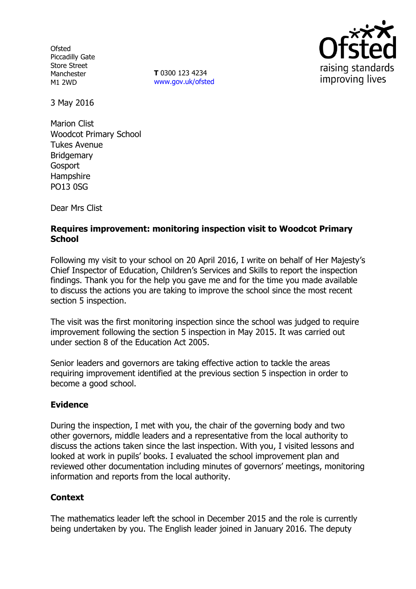**Ofsted** Piccadilly Gate Store Street Manchester M1 2WD

**T** 0300 123 4234 www.gov.uk/ofsted



3 May 2016

Marion Clist Woodcot Primary School Tukes Avenue Bridgemary Gosport Hampshire PO13 0SG

Dear Mrs Clist

# **Requires improvement: monitoring inspection visit to Woodcot Primary School**

Following my visit to your school on 20 April 2016, I write on behalf of Her Majesty's Chief Inspector of Education, Children's Services and Skills to report the inspection findings. Thank you for the help you gave me and for the time you made available to discuss the actions you are taking to improve the school since the most recent section 5 inspection.

The visit was the first monitoring inspection since the school was judged to require improvement following the section 5 inspection in May 2015. It was carried out under section 8 of the Education Act 2005.

Senior leaders and governors are taking effective action to tackle the areas requiring improvement identified at the previous section 5 inspection in order to become a good school.

#### **Evidence**

During the inspection, I met with you, the chair of the governing body and two other governors, middle leaders and a representative from the local authority to discuss the actions taken since the last inspection. With you, I visited lessons and looked at work in pupils' books. I evaluated the school improvement plan and reviewed other documentation including minutes of governors' meetings, monitoring information and reports from the local authority.

# **Context**

The mathematics leader left the school in December 2015 and the role is currently being undertaken by you. The English leader joined in January 2016. The deputy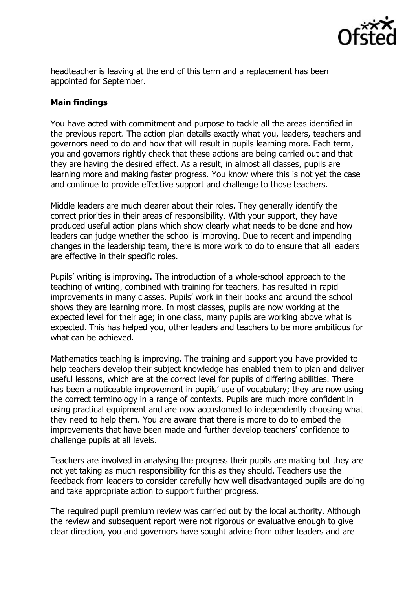

headteacher is leaving at the end of this term and a replacement has been appointed for September.

### **Main findings**

You have acted with commitment and purpose to tackle all the areas identified in the previous report. The action plan details exactly what you, leaders, teachers and governors need to do and how that will result in pupils learning more. Each term, you and governors rightly check that these actions are being carried out and that they are having the desired effect. As a result, in almost all classes, pupils are learning more and making faster progress. You know where this is not yet the case and continue to provide effective support and challenge to those teachers.

Middle leaders are much clearer about their roles. They generally identify the correct priorities in their areas of responsibility. With your support, they have produced useful action plans which show clearly what needs to be done and how leaders can judge whether the school is improving. Due to recent and impending changes in the leadership team, there is more work to do to ensure that all leaders are effective in their specific roles.

Pupils' writing is improving. The introduction of a whole-school approach to the teaching of writing, combined with training for teachers, has resulted in rapid improvements in many classes. Pupils' work in their books and around the school shows they are learning more. In most classes, pupils are now working at the expected level for their age; in one class, many pupils are working above what is expected. This has helped you, other leaders and teachers to be more ambitious for what can be achieved.

Mathematics teaching is improving. The training and support you have provided to help teachers develop their subject knowledge has enabled them to plan and deliver useful lessons, which are at the correct level for pupils of differing abilities. There has been a noticeable improvement in pupils' use of vocabulary; they are now using the correct terminology in a range of contexts. Pupils are much more confident in using practical equipment and are now accustomed to independently choosing what they need to help them. You are aware that there is more to do to embed the improvements that have been made and further develop teachers' confidence to challenge pupils at all levels.

Teachers are involved in analysing the progress their pupils are making but they are not yet taking as much responsibility for this as they should. Teachers use the feedback from leaders to consider carefully how well disadvantaged pupils are doing and take appropriate action to support further progress.

The required pupil premium review was carried out by the local authority. Although the review and subsequent report were not rigorous or evaluative enough to give clear direction, you and governors have sought advice from other leaders and are